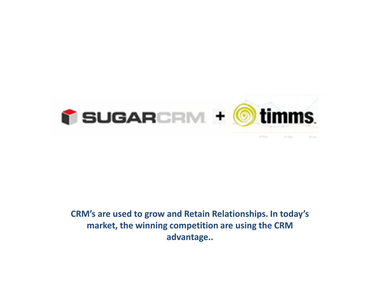

**CRM's are used to grow and Retain Relationships. In today's market, the winning competition are using the CRM advantage..**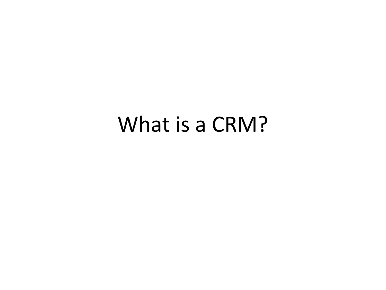#### What is a CRM?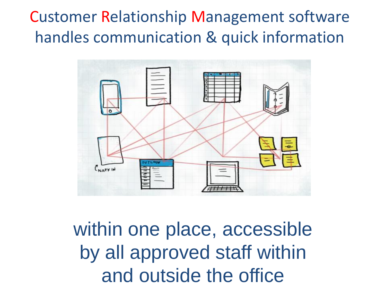#### Customer Relationship Management software handles communication & quick information



within one place, accessible by all approved staff within and outside the office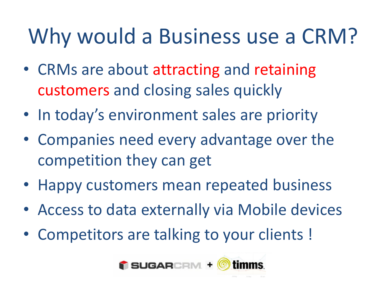## Why would a Business use a CRM?

- CRMs are about attracting and retaining customers and closing sales quickly
- In today's environment sales are priority
- Companies need every advantage over the competition they can get
- Happy customers mean repeated business
- Access to data externally via Mobile devices
- Competitors are talking to your clients !

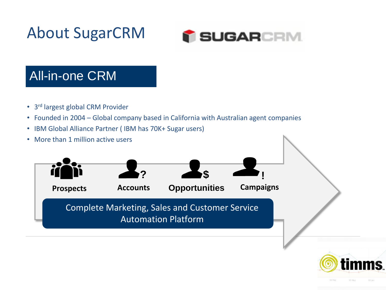About SugarCRM



#### All-in-one CRM

- 3<sup>rd</sup> largest global CRM Provider
- Founded in 2004 Global company based in California with Australian agent companies
- IBM Global Alliance Partner ( IBM has 70K+ Sugar users)
- More than 1 million active users



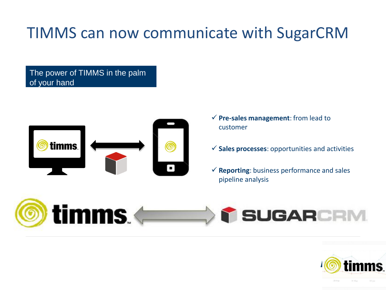#### TIMMS can now communicate with SugarCRM

The power of TIMMS in the palm of your hand



- **Pre-sales management**: from lead to customer
- **Sales processes**: opportunities and activities
- $\checkmark$  Reporting: business performance and sales pipeline analysis



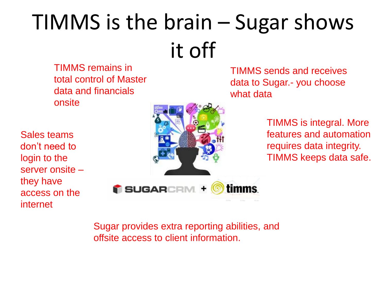## TIMMS is the brain – Sugar shows it off

TIMMS remains in total control of Master data and financials onsite

Sales teams don't need to login to the server onsite – they have access on the internet



TIMMS sends and receives data to Sugar.- you choose what data

> TIMMS is integral. More features and automation requires data integrity. TIMMS keeps data safe.

Sugar provides extra reporting abilities, and offsite access to client information.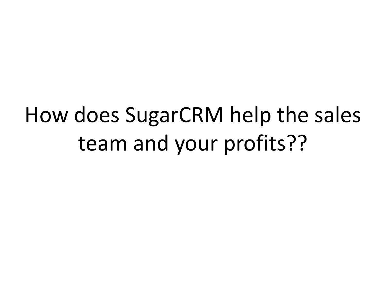How does SugarCRM help the sales team and your profits??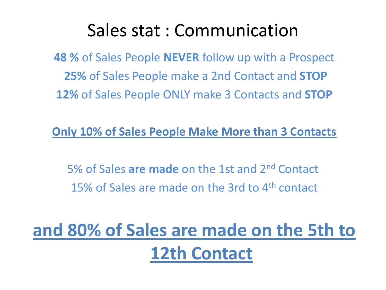#### Sales stat : Communication

**48 %** of Sales People **NEVER** follow up with a Prospect **25%** of Sales People make a 2nd Contact and **STOP 12%** of Sales People ONLY make 3 Contacts and **STOP**

#### **Only 10% of Sales People Make More than 3 Contacts**

5% of Sales **are made** on the 1st and 2nd Contact 15% of Sales are made on the 3rd to 4<sup>th</sup> contact

#### **and 80% of Sales are made on the 5th to 12th Contact**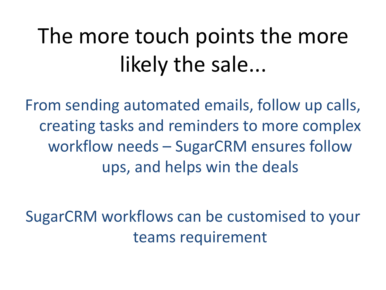# The more touch points the more likely the sale...

From sending automated emails, follow up calls, creating tasks and reminders to more complex workflow needs – SugarCRM ensures follow ups, and helps win the deals

SugarCRM workflows can be customised to your teams requirement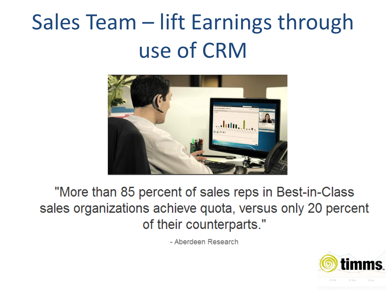## Sales Team – lift Earnings through use of CRM



"More than 85 percent of sales reps in Best-in-Class sales organizations achieve quota, versus only 20 percent of their counterparts."

- Aberdeen Research

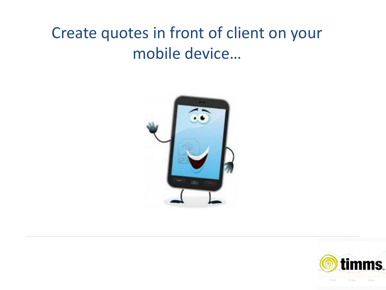#### Create quotes in front of client on your mobile device…



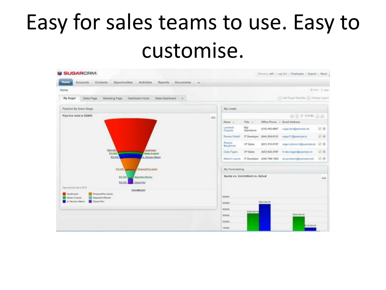## Easy for sales teams to use. Easy to customise.

| <b>M SUGARCRM.</b>                                                                                  |             |                                               |                 |                | Writerm, will   Log Dut   Employme   Support   About             |                   |  |  |
|-----------------------------------------------------------------------------------------------------|-------------|-----------------------------------------------|-----------------|----------------|------------------------------------------------------------------|-------------------|--|--|
| <b>Home</b><br>Contacts Opportunities<br><b>Activities</b><br>Reports Documents<br>Accounts.<br>$-$ |             |                                               |                 |                |                                                                  |                   |  |  |
| Home                                                                                                |             |                                               |                 |                |                                                                  | 25 Port . 9. Help |  |  |
| My Sugar<br>Sales Page<br>Marketing Page<br>Dashboard Home<br>Sales Day/doord                       |             |                                               |                 |                | (ii) Antifaigue Davisión (iii) Disegnitazioni                    |                   |  |  |
| Pipeline By Sales Stage                                                                             |             | My Leads                                      |                 |                |                                                                  |                   |  |  |
| Pipeline total is \$390K                                                                            | <b>Side</b> |                                               |                 |                | (iii) (iii) (8-8 of 30) (a) can-                                 |                   |  |  |
|                                                                                                     |             | Name in                                       | Title of        |                | Office Phone : Email Address                                     |                   |  |  |
|                                                                                                     |             | Lynwood<br>Consola                            | Mg<br>Operatore |                | (016) 400-8857 migat dev@example.de                              | 资金                |  |  |
|                                                                                                     |             | Rames Dibitili                                |                 |                | IT Developer (644) 259-6131 vegan71@exemple.tv                   | 望廊                |  |  |
|                                                                                                     |             | <b>Drayte</b><br>Baughesien                   | VP Sales        | (641) 316-9197 | vegan phone hr@example.com                                       | 安徽                |  |  |
| \$200,000<br>Quatriciden<br>151005<br>Neodo Analysis                                                |             | Cody Figures                                  | VP Sales        | (427) 620-3787 | In developer@example.cn                                          | 88                |  |  |
| 65.000<br>C Decese Maters                                                                           |             |                                               |                 |                | Matom Lauris /T Developer (246) 768-1363 ga ga beans@example.com | 2.93              |  |  |
| <b>Photos and Law Games</b><br>\$15,000                                                             |             | My Porecasting                                |                 |                |                                                                  |                   |  |  |
| Neprimted Heyton<br>\$50,000<br>Closed War<br>320.00K                                               |             | Quota vs. Committed vs. Actual<br><b>Side</b> |                 |                |                                                                  |                   |  |  |
| Opportunity star in \$1K.<br><b>STEERING</b>                                                        |             |                                               |                 |                |                                                                  |                   |  |  |
| PhotosalPrice Quine<br>Grafforder<br><b>Newlis Aristoria</b><br><b>Targetater/Nevine</b>            | erroom      |                                               |                 |                |                                                                  |                   |  |  |
| 4. Decision Violence<br>Downline:                                                                   |             | scoposi                                       |                 | \$503,500.00   |                                                                  |                   |  |  |
|                                                                                                     |             | 400000                                        | \$390,000.00    |                |                                                                  |                   |  |  |
|                                                                                                     |             | idootei                                       |                 |                | \$300,000.00                                                     |                   |  |  |
|                                                                                                     |             | <b>JEMINORE</b>                               |                 |                | 125,000.00                                                       |                   |  |  |
|                                                                                                     |             | 100000                                        |                 |                |                                                                  |                   |  |  |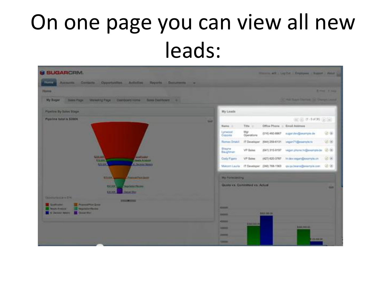## On one page you can view all new leads:

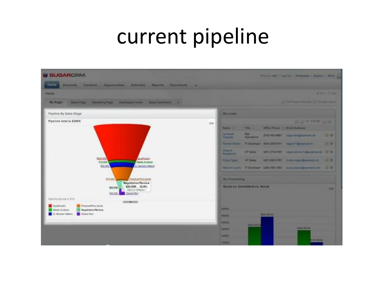#### current pipeline

| <b>SUGARCRM.</b>                                                                                                                                                                               | Nillenni alli   Leg Cut   Dramane   Supra   Alma |                                                                                                                                                                                                                                                                 |
|------------------------------------------------------------------------------------------------------------------------------------------------------------------------------------------------|--------------------------------------------------|-----------------------------------------------------------------------------------------------------------------------------------------------------------------------------------------------------------------------------------------------------------------|
| Accounts Colliste Opportunities Activities Reports Documents                                                                                                                                   |                                                  |                                                                                                                                                                                                                                                                 |
| <b>Pinerra</b>                                                                                                                                                                                 |                                                  | <b>M. Jessey, 19 campa</b>                                                                                                                                                                                                                                      |
| Sales Page Manutcry Page Democraticums Sam Deutsmost 4<br>My Sugar                                                                                                                             |                                                  | La FARI Rugar Zhomana, Luiz Drampar Lasman                                                                                                                                                                                                                      |
| <b>Pipeline By Sales Stage</b>                                                                                                                                                                 |                                                  | <b>My Linade</b>                                                                                                                                                                                                                                                |
| Pipeline total is \$390K                                                                                                                                                                       | in 1                                             | <b>SECOND REPORT OF SALE</b><br>Office Phone - Link Address<br>Title -<br><b>Name is</b><br><b>Lymenta</b><br>$rac{M_{\text{H}}}{M_{\text{H}}}}$<br>(214) 433-8957. August 214-22 expression (in<br><b>VOTA!</b><br><b>Chevints:</b>                            |
|                                                                                                                                                                                                |                                                  | <b>CALL AND</b><br>Harter Ditell 17 December (644) 205-8131 inspirit (Severals in<br><b>Shapes</b>                                                                                                                                                              |
| \$200,000<br>Qualitarian<br>\$10,008<br>Needs Airplane<br>\$25,000<br><b>Certain Mours</b>                                                                                                     |                                                  | <b>VIT Sales</b><br>(641) 215-9197 regard plans highwarten (21.19)<br><b>Bautiman</b><br>H2TL020-3787 In this required months on<br><b>VP Sales:</b><br>Circle Fraunts<br><b>DOTE</b><br>Motorn Learn 17 Developer (246) WA 1963 As below adjacent can 150 Mill |
| <b>Phoenix Artis at Goods</b><br>\$13.000<br>Negotiation/Review<br>\$50,00K 12.8%<br>\$50,000<br>Old for Drillian in<br>\$30,000<br><b>Closed War</b>                                          |                                                  | <b>No Perrosauting</b><br>Gusta vs. Committed vs. Actual<br>14.0                                                                                                                                                                                                |
| Opportunity size in \$1%<br><b>COLLEGE AND STATE</b><br>Gualficutor:<br>Phoposail Pitca Quelle<br><b>Peace Analyse</b><br>Negotiation/Review<br><b>C. Dechier Milers</b><br><b>Cluster</b> War |                                                  | <b>NOODS</b><br>\$100,000,000<br><b>BIRDER</b><br><b>KALLAS</b><br><b>SHOP WITH</b><br><b>EDITORE DE</b><br><b>MODERN</b><br><b>JA0008</b><br>120,000,001<br><b>HOLLER</b>                                                                                      |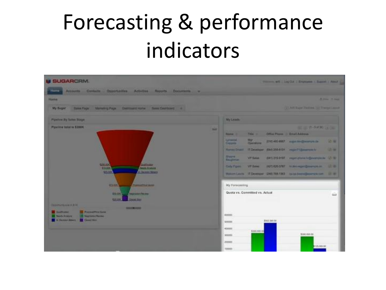## Forecasting & performance indicators

| <b>US SUGARCRIM.</b>                                                                                                                                                                                                                                                                                                                                                         |            |                                                                                                                     |                                                                                       | Houses all Ling Cit   Drymann   Supra   Amul |                                                                                                                                                                                                                                                                                                                                                          |                                               |
|------------------------------------------------------------------------------------------------------------------------------------------------------------------------------------------------------------------------------------------------------------------------------------------------------------------------------------------------------------------------------|------------|---------------------------------------------------------------------------------------------------------------------|---------------------------------------------------------------------------------------|----------------------------------------------|----------------------------------------------------------------------------------------------------------------------------------------------------------------------------------------------------------------------------------------------------------------------------------------------------------------------------------------------------------|-----------------------------------------------|
| Accounts Contacts Opportunities Activities Napprts Documents -                                                                                                                                                                                                                                                                                                               |            |                                                                                                                     |                                                                                       |                                              |                                                                                                                                                                                                                                                                                                                                                          |                                               |
| <b>PERSONAL</b>                                                                                                                                                                                                                                                                                                                                                              |            |                                                                                                                     |                                                                                       |                                              |                                                                                                                                                                                                                                                                                                                                                          | <b>B. Avenue, 19 center</b>                   |
| My Sugar<br>Sales Page Manastry Page Democratic Asima<br><b>San Destinant</b>                                                                                                                                                                                                                                                                                                |            |                                                                                                                     |                                                                                       |                                              | 141 Art Rape Thomas (s) There Canud                                                                                                                                                                                                                                                                                                                      |                                               |
| Pipelote By Some Stage                                                                                                                                                                                                                                                                                                                                                       |            | <b>My Lisade</b>                                                                                                    |                                                                                       |                                              |                                                                                                                                                                                                                                                                                                                                                          |                                               |
| Pipeline total is \$300K.<br><b>LEXICO</b><br><b>Gallegar</b><br><b>Algular</b><br><b>TANAGE AVAILABLE</b><br><b>C. Declare Melany</b><br>125,500                                                                                                                                                                                                                            | <b>BAR</b> | <b>Based II</b><br><b>Limented</b><br>Consults<br><b>Shapes</b><br><b>Bagfiman</b><br>Circle Figures                | Title of<br>$rac{M_{\text{H}}}{M_{\text{H}}}}$<br><b>VII Sales</b><br><b>VP Balms</b> |                                              | <b>BELLEVILLE SHOWLER THE</b><br>Office Planes - Email Address<br>(218) 400 8907. August 14-@ecomple.de<br>Harvey Driver 17 Developer (640 205 4131 might 1-Severalis to<br>(641) 215-9197 regard planet billionergie av 121 W<br>H21) 620-3787 In this regard prompt in<br>Motors Leath 17 Developm (246) WA 1362 (exist from all paintings can. 137 Hz | <b>VOW</b><br><b>CALL HAVE</b><br><b>SALE</b> |
| <b>REVIEW</b><br><b>PALLAMENTAL GAMES</b><br><b><i>SALDENHAM PRIVING</i></b><br><b>BRIDGE</b><br><b>Circuit Street</b><br><b>GENERAL</b><br><b>Carmellish Avenue of A. F.A.</b><br><b>SHOW THE STATE</b><br><b>Confirmer</b><br><b>Promotives Galax</b><br><b><i>Parents Aristore</i></b><br><b><i><u>Newtomer Passes</u></i></b><br><b>R. Chicken Moore - In Connection</b> |            | My Forecasting<br>Quota vs. Committed vs. Actual<br><b>ADODES</b><br>500000<br>400000<br>300006<br>200008<br>190000 | \$350,000.00                                                                          | \$502,000.00                                 | \$300,000.00<br>1125.008.00                                                                                                                                                                                                                                                                                                                              | <b>Gall</b>                                   |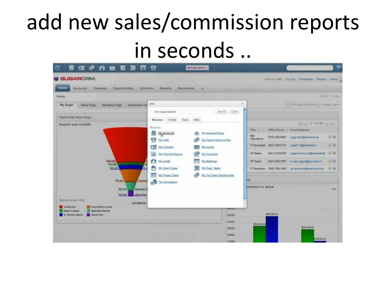## add new sales/commission reports in seconds ..

| Ω<br>画<br>白面目目<br>- 497<br>爾                                                                                                              | 冒發                                                | Seeing Lights                                |                         |                                       |             |                                                                         | P                  |
|-------------------------------------------------------------------------------------------------------------------------------------------|---------------------------------------------------|----------------------------------------------|-------------------------|---------------------------------------|-------------|-------------------------------------------------------------------------|--------------------|
| <b>M SUGARCRM.</b><br><b>Hame</b><br>Contacts<br><b>Opportunities</b><br>Accounts                                                         | Activities.<br><b>Пароста</b><br><b>Documents</b> |                                              |                         |                                       |             | Wellcox, will I Log D.A.   Employees   Support   About                  |                    |
| <b>Nome</b>                                                                                                                               |                                                   |                                              |                         |                                       |             |                                                                         | di Perez (R. 1930) |
| My Sugar<br>Sales Page Marketing Page Deshboard Hot                                                                                       | Add.<br>First Sugar Dashlet                       |                                              | Sainh Clear             |                                       |             | 14 Art Supe Dollars (A) Danys Leyeut                                    |                    |
| <b>Pipeline By Sales Stage</b>                                                                                                            | Modules Charls Tools Web                          |                                              |                         |                                       |             |                                                                         |                    |
| Pipeline total is \$390K                                                                                                                  | Modules                                           |                                              |                         |                                       |             | UC 10 17 - 5 of 301 (a) and                                             |                    |
|                                                                                                                                           | <b>PE http://www.ctvi</b><br><b>CT</b> My Calls   | Mr. Aimgreat Bugs<br>My Closed Opportunities |                         | Tills (1)<br>Mar<br><b>Coorstores</b> |             | Office Phone 11 Ernal Address<br>(016) 460-8867 - super dwidpexample.de | OF AN              |
|                                                                                                                                           | <b>10 My Contacts</b>                             | My Ernate                                    |                         | IT Developed                          |             | (644) 259-6131 vegan 71 (Environment Av                                 | $16 - 16$          |
|                                                                                                                                           | Jir My Payorie Reports                            | <b>My Forecastis</b>                         |                         | <b>VP Sales</b>                       |             | (641) 316-9197  vegan phone hr@ssample.do (2) UK                        |                    |
| 6220.000<br>110.000                                                                                                                       | <b>FE Milents</b>                                 | My Montings                                  |                         | <b>VP Sales</b>                       |             | (427) 620-3787 https://gort@eastrole.cn                                 | SE MI              |
| \$25,000                                                                                                                                  | a.<br>My Down Cases                               | 91<br>Ms Open Tasks                          |                         |                                       |             | IT Developer (240) 765-1303 as out news (final my let use 10 lb)        |                    |
| <b>thek</b><br><b>Physical</b>                                                                                                            | My Prepect Texas<br>Too Cargaigia                 | <b>Wy Tag Open Opportunion</b>               |                         |                                       |             |                                                                         |                    |
| <b>BILGIN</b><br><b>Negotiation!</b><br><b>CESS</b><br><b>Closed Win</b><br>Caparturity size to \$190<br><b>SELFINO</b>                   |                                                   |                                              |                         | Smithted VA. Actual                   |             |                                                                         | <b>BAK</b>         |
| <b>CLUBERRA</b><br><b>PRODUCTION CLOSE</b><br><b>Boads Analysis</b><br><b>Nigotophilipyer</b><br><b>IL Dociete Victory</b><br>Count World |                                                   |                                              | Mobbit                  |                                       | 9502,505.00 |                                                                         |                    |
|                                                                                                                                           |                                                   |                                              | 400000<br><b>REPORT</b> | \$300,000.00                          |             | \$300,000.06                                                            |                    |
|                                                                                                                                           |                                                   |                                              | 200000<br>ASSOCIATE     |                                       |             | 100,000,000                                                             |                    |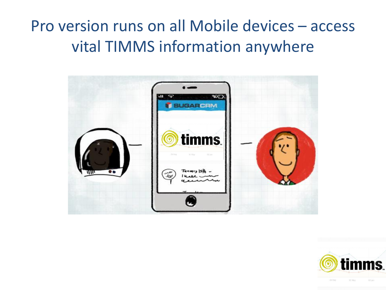#### Pro version runs on all Mobile devices – access vital TIMMS information anywhere



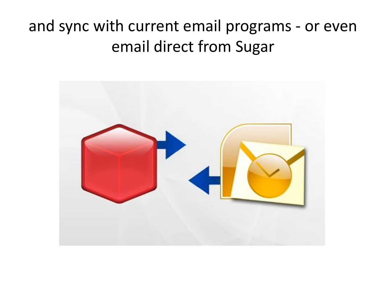#### and sync with current email programs - or even email direct from Sugar

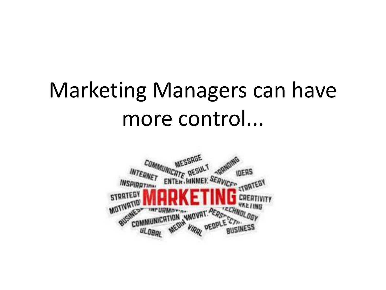## Marketing Managers can have more control...

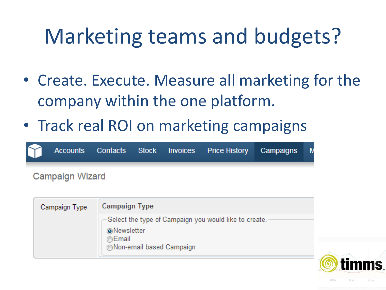## Marketing teams and budgets?

- Create. Execute. Measure all marketing for the company within the one platform.
- Track real ROI on marketing campaigns



| Campaign Type | <b>Campaign Type</b>                                                          |  |
|---------------|-------------------------------------------------------------------------------|--|
|               | -Select the type of Campaign you would like to create.<br><b>O</b> Newsletter |  |
|               | ⊚Email                                                                        |  |
|               | Non-email based Campaign                                                      |  |

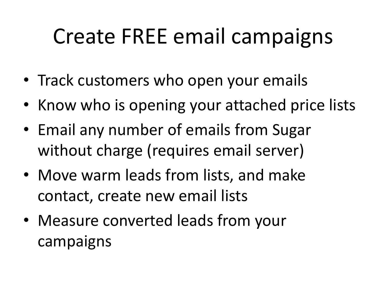### Create FREE email campaigns

- Track customers who open your emails
- Know who is opening your attached price lists
- Email any number of emails from Sugar without charge (requires email server)
- Move warm leads from lists, and make contact, create new email lists
- Measure converted leads from your campaigns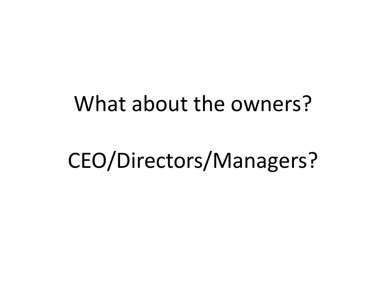#### What about the owners?

#### CEO/Directors/Managers?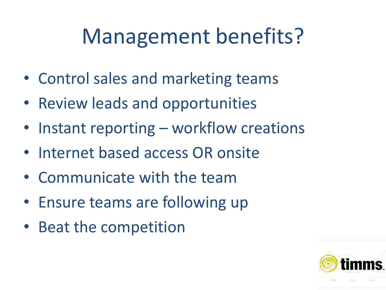### Management benefits?

- Control sales and marketing teams
- Review leads and opportunities
- Instant reporting workflow creations
- Internet based access OR onsite
- Communicate with the team
- Ensure teams are following up
- Beat the competition

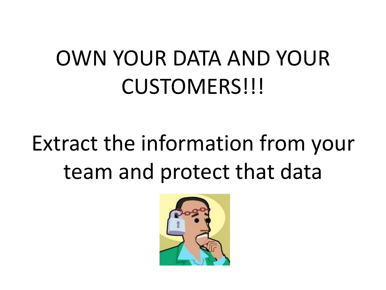## OWN YOUR DATA AND YOUR CUSTOMERS!!!

## Extract the information from your team and protect that data

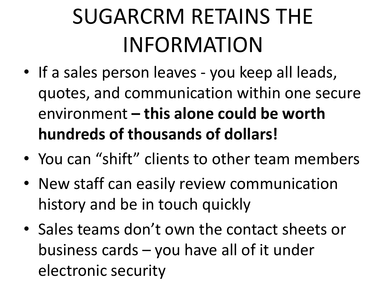# SUGARCRM RETAINS THE INFORMATION

- If a sales person leaves you keep all leads, quotes, and communication within one secure environment **– this alone could be worth hundreds of thousands of dollars!**
- You can "shift" clients to other team members
- New staff can easily review communication history and be in touch quickly
- Sales teams don't own the contact sheets or business cards – you have all of it under electronic security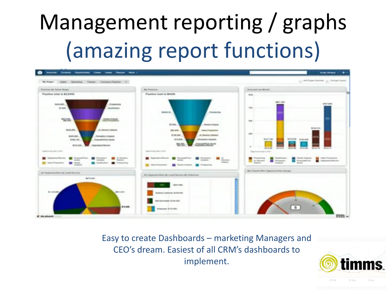# Management reporting / graphs (amazing report functions)



Easy to create Dashboards – marketing Managers and CEO's dream. Easiest of all CRM's dashboards to implement.

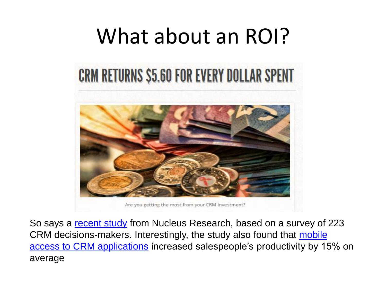#### What about an ROI?

#### **CRM RETURNS \$5.60 FOR EVERY DOLLAR SPENT**



Are you getting the most from your CRM investment?

So says a [recent study](http://nucleusresearch.com/research/notes-and-reports/crm-pays-back-5-dot-60-for-every-dollar-spent/) from Nucleus Research, based on a survey of 223 CRM decisions-makers. Interestingly, the study also found that mobile [access to CRM applications](http://www.cloudsherpas.com/services/custom-development/mobile-apps/) increased salespeople's productivity by 15% on average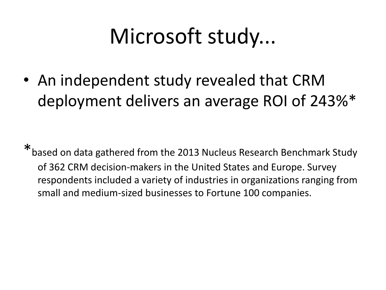## Microsoft study...

• An independent study revealed that CRM deployment delivers an average ROI of 243%\*

\*based on data gathered from the 2013 Nucleus Research Benchmark Study of 362 CRM decision-makers in the United States and Europe. Survey respondents included a variety of industries in organizations ranging from small and medium-sized businesses to Fortune 100 companies.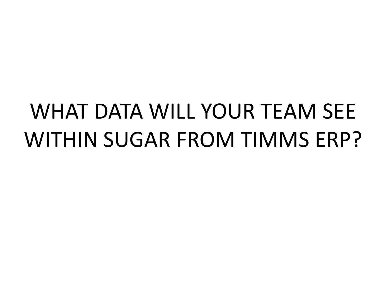## WHAT DATA WILL YOUR TEAM SEE WITHIN SUGAR FROM TIMMS ERP?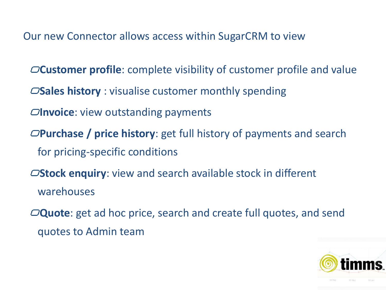Our new Connector allows access within SugarCRM to view

- **Customer profile**: complete visibility of customer profile and value
- **Sales history** : visualise customer monthly spending
- *Olnvoice:* view outstanding payments
- **Purchase / price history**: get full history of payments and search for pricing-specific conditions
- **Stock enquiry**: view and search available stock in different warehouses
- **Quote**: get ad hoc price, search and create full quotes, and send quotes to Admin team

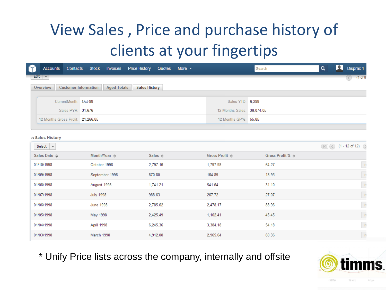#### View Sales , Price and purchase history of clients at your fingertips

| Accounts Contacts Stock Invoices Price History Quotes More |                                            |  |                            | Search |  | Disprax 1   |
|------------------------------------------------------------|--------------------------------------------|--|----------------------------|--------|--|-------------|
| Edit $ \nabla$                                             |                                            |  |                            |        |  | $(1$ of $9$ |
| Overview<br><b>Customer Information</b>                    | <b>Aged Totals</b><br><b>Sales History</b> |  |                            |        |  |             |
| CurrentMonth: Oct-98                                       |                                            |  | Sales YTD: 6,398           |        |  |             |
| Sales PYR: 31,676                                          |                                            |  | 12 Months Sales: 38,074.05 |        |  |             |
| 12 Months Gross Profit: 21,266.85                          |                                            |  | 12 Months GP%: 55.85       |        |  |             |

#### **A Sales History**

| Select<br>$\overline{\mathbf{v}}$ |                              |                         |                                |                                  | $R \times (2)$ (1 - 12 of 12) |
|-----------------------------------|------------------------------|-------------------------|--------------------------------|----------------------------------|-------------------------------|
| Sales Date $\Rightarrow$          | Month/Year $\Leftrightarrow$ | Sales $\Leftrightarrow$ | Gross Profit $\Leftrightarrow$ | Gross Profit % $\Leftrightarrow$ |                               |
| 01/10/1998                        | October 1998                 | 2,797.16                | 1,797.98                       | 64.27                            | $\mathbb{R}^2$                |
| 01/09/1998                        | September 1998               | 870.80                  | 164.89                         | 18.93                            | $\mathbf{r}$                  |
| 01/08/1998                        | August 1998                  | 1,741.21                | 541.64                         | 31.10                            | $\frac{1}{2}$                 |
| 01/07/1998                        | <b>July 1998</b>             | 988.63                  | 267.72                         | 27.07                            | $\mid$ re                     |
| 01/06/1998                        | <b>June 1998</b>             | 2,785.62                | 2,478.17                       | 88.96                            | $\frac{1}{2}$                 |
| 01/05/1998                        | May 1998                     | 2,425.49                | 1,102.41                       | 45.45                            | $\frac{1}{2}$                 |
| 01/04/1998                        | April 1998                   | 6,245.36                | 3,384.18                       | 54.18                            | $\mathbf{r}$                  |
| 01/03/1998                        | March 1998                   | 4,912.08                | 2,965.04                       | 60.36                            | $\mathbf{r}$                  |

\* Unify Price lists across the company, internally and offsite

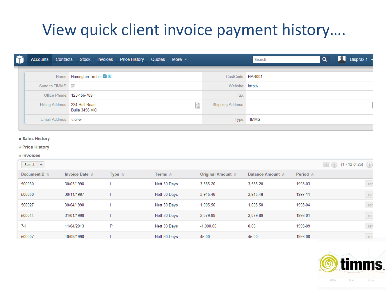#### View quick client invoice payment history….

|  |                                | Accounts Contacts Stock Invoices Price History Quotes More v |                          | Disprax 1<br>Search |
|--|--------------------------------|--------------------------------------------------------------|--------------------------|---------------------|
|  |                                | Name: Harrington Timber in L                                 | CustCode: HAR001         |                     |
|  | Sync to TIMMS: $\triangledown$ |                                                              | Website: http://         |                     |
|  | Office Phone: 123-456-789      |                                                              | Fax:                     |                     |
|  | Billing Address: 234 Bull Road | <b>自</b><br>Bulla 3456 VIC                                   | <b>Shipping Address:</b> |                     |
|  | Email Address: - none-         |                                                              |                          | Type: TIMMS         |

#### $★$  **Sales History**

#### $★$  **Price History**

#### **Alnvoices**

| Select<br>$\overline{\phantom{a}}$ |                                |                    |                         |                                   |                                  |                        | $\left(\frac{1}{\sqrt{2}}\right)$ (1 - 12 of 26) $\left(\frac{1}{2}\right)$ |
|------------------------------------|--------------------------------|--------------------|-------------------------|-----------------------------------|----------------------------------|------------------------|-----------------------------------------------------------------------------|
| DocumentID $\Leftrightarrow$       | Invoice Date $\Leftrightarrow$ | Type $\Rightarrow$ | Terms $\Leftrightarrow$ | Original Amount $\Leftrightarrow$ | Balance Amount $\Leftrightarrow$ | <b>Period</b> $\oplus$ |                                                                             |
| 500030                             | 30/03/1998                     |                    | Nett 30 Days            | 3.555.20                          | 3.555.20                         | 1998-03                | rer                                                                         |
| 500050                             | 30/11/1997                     |                    | Nett 30 Days            | 3,945.48                          | 3,945.48                         | 1997-11                | rer                                                                         |
| 500027                             | 30/04/1998                     |                    | Nett 30 Days            | 1.005.50                          | 1.005.50                         | 1998-04                | rer                                                                         |
| 500044                             | 31/01/1998                     |                    | Nett 30 Days            | 3.079.89                          | 3.079.89                         | 1998-01                | rer                                                                         |
| $7 - 1$                            | 11/04/2013                     | P                  | Nett 30 Days            | $-1,000.00$                       | 0.00                             | 1998-09                | rer                                                                         |
| 500007                             | 10/09/1998                     |                    | Nett 30 Days            | 45.00                             | 45.00                            | 1998-08                | rer                                                                         |

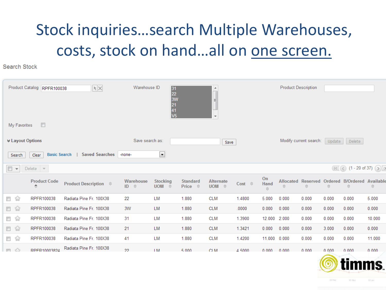#### Stock inquiries…search Multiple Warehouses, costs, stock on hand...all on one screen.

Search Stock

|                                           | Product Catalog RPFR100038                                                                  | $ \mathbf{r}  \times$               | Warehouse ID             | 31<br>22<br>3W<br>21<br>41<br>41<br>V5 |                                   | ┻<br>티<br>$\overline{\phantom{a}}$ |                     |                                                                                            | <b>Product Description</b> |                                 |           |                                        |           |
|-------------------------------------------|---------------------------------------------------------------------------------------------|-------------------------------------|--------------------------|----------------------------------------|-----------------------------------|------------------------------------|---------------------|--------------------------------------------------------------------------------------------|----------------------------|---------------------------------|-----------|----------------------------------------|-----------|
| My Favorites                              | $\Box$                                                                                      |                                     |                          |                                        |                                   |                                    |                     |                                                                                            |                            |                                 |           |                                        |           |
| <b><math>\angle</math> Layout Options</b> |                                                                                             |                                     | Save search as:          |                                        |                                   | Save                               |                     |                                                                                            |                            | Modify current search:          | Update    | Delete                                 |           |
| Search                                    | $\overline{\phantom{a}}$<br><b>Saved Searches</b><br><b>Basic Search</b><br>-none-<br>Clear |                                     |                          |                                        |                                   |                                    |                     |                                                                                            |                            |                                 |           |                                        |           |
| $\Box$                                    | Delete $\blacktriangledown$                                                                 |                                     |                          |                                        |                                   |                                    |                     |                                                                                            |                            |                                 |           | $(15)$ (1 - 20 of 37) $(5)$            |           |
|                                           | <b>Product Code</b><br>$\Rightarrow$                                                        | <b>Product Description</b> $\oplus$ | Warehouse<br>$ID \oplus$ | <b>Stocking</b><br>$UOM \quad \oplus$  | <b>Standard</b><br>Price $\oplus$ | <b>Alternate</b><br>UOM $\oplus$   | $Cost \quad \oplus$ | On<br>Hand<br>$\stackrel{\scriptscriptstyle\triangle}{\scriptscriptstyle\bigtriangledown}$ | $\Rightarrow$              | <b>Allocated Reserved</b><br>÷. | $\ominus$ | Ordered B/Ordered Availab<br>$\ominus$ | $\ominus$ |
| □ ☆                                       | RPFR100038                                                                                  | Radiata Pine Fr. 100X38             | 22                       | <b>LM</b>                              | 1.880                             | <b>CLM</b>                         | 1.4800              | 5.000                                                                                      | 0.000                      | 0.000                           | 0.000     | 0.000                                  | 5.000     |
| □ ☆                                       | RPFR100038                                                                                  | Radiata Pine Fr. 100X38             | 3W                       | <b>LM</b>                              | 1.880                             | <b>CLM</b>                         | .0000               | 0.000                                                                                      | 0.000                      | 0.000                           | 0.000     | 0.000                                  | 0.000     |
| □☆                                        | RPFR100038                                                                                  | Radiata Pine Fr. 100X38             | 31                       | LM                                     | 1.880                             | <b>CLM</b>                         | 1.3900              | 12.000                                                                                     | 2.000                      | 0.000                           | 0.000     | 0.000                                  | 10.000    |
| □ ☆                                       | RPFR100038                                                                                  | Radiata Pine Fr. 100X38             | 21                       | LM                                     | 1.880                             | <b>CLM</b>                         | 1.3421              | 0.000                                                                                      | 0.000                      | 0.000                           | 3.000     | 0.000                                  | 0.000     |
| □ ☆                                       | RPFR100038                                                                                  | Radiata Pine Fr. 100X38             | 41                       | LM                                     | 1.880                             | <b>CLM</b>                         | 1.4200              | 11.000                                                                                     | 0.000                      | 0.000                           | 0.000     | 0.000                                  | 11.000    |
| $\Box$                                    | RPFR10003824                                                                                | Radiata Pine Fr. 100X38             | 22                       | 1M                                     | 5.000                             | CLM.                               | 4.5000              | 0.000                                                                                      | 0.000                      | 0.000                           | 0.000     | 0.000                                  | 0.000     |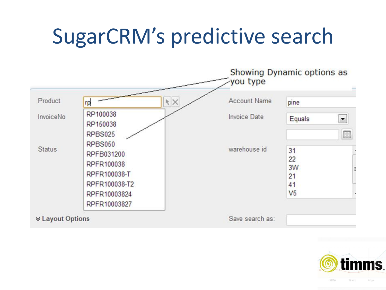### SugarCRM's predictive search



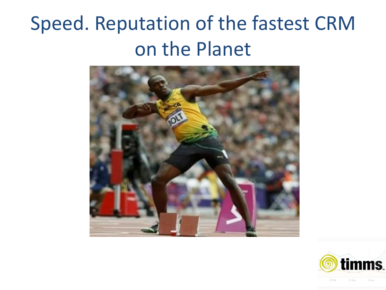#### Speed. Reputation of the fastest CRM on the Planet